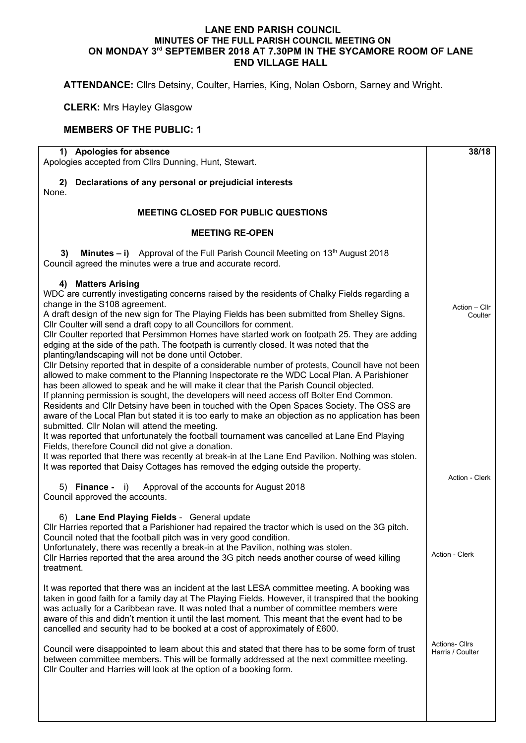## **LANE END PARISH COUNCIL MINUTES OF THE FULL PARISH COUNCIL MEETING ON ON MONDAY 3rd SEPTEMBER 2018 AT 7.30PM IN THE SYCAMORE ROOM OF LANE END VILLAGE HALL**

**ATTENDANCE:** Cllrs Detsiny, Coulter, Harries, King, Nolan Osborn, Sarney and Wright.

**CLERK:** Mrs Hayley Glasgow

## **MEMBERS OF THE PUBLIC: 1**

| 1) Apologies for absence<br>Apologies accepted from Cllrs Dunning, Hunt, Stewart.                                                                                                                                                                                                                                                                                                                                                                                                                                                                                                                                                                                                                                                                                                                                                                                                                                                                                                                                                                                                                                                                                                                                                                                                                                                                                                | 38/18                    |
|----------------------------------------------------------------------------------------------------------------------------------------------------------------------------------------------------------------------------------------------------------------------------------------------------------------------------------------------------------------------------------------------------------------------------------------------------------------------------------------------------------------------------------------------------------------------------------------------------------------------------------------------------------------------------------------------------------------------------------------------------------------------------------------------------------------------------------------------------------------------------------------------------------------------------------------------------------------------------------------------------------------------------------------------------------------------------------------------------------------------------------------------------------------------------------------------------------------------------------------------------------------------------------------------------------------------------------------------------------------------------------|--------------------------|
| 2) Declarations of any personal or prejudicial interests<br>None.                                                                                                                                                                                                                                                                                                                                                                                                                                                                                                                                                                                                                                                                                                                                                                                                                                                                                                                                                                                                                                                                                                                                                                                                                                                                                                                |                          |
| <b>MEETING CLOSED FOR PUBLIC QUESTIONS</b>                                                                                                                                                                                                                                                                                                                                                                                                                                                                                                                                                                                                                                                                                                                                                                                                                                                                                                                                                                                                                                                                                                                                                                                                                                                                                                                                       |                          |
| <b>MEETING RE-OPEN</b>                                                                                                                                                                                                                                                                                                                                                                                                                                                                                                                                                                                                                                                                                                                                                                                                                                                                                                                                                                                                                                                                                                                                                                                                                                                                                                                                                           |                          |
| <b>Minutes – i)</b> Approval of the Full Parish Council Meeting on $13th$ August 2018<br>3)<br>Council agreed the minutes were a true and accurate record.                                                                                                                                                                                                                                                                                                                                                                                                                                                                                                                                                                                                                                                                                                                                                                                                                                                                                                                                                                                                                                                                                                                                                                                                                       |                          |
| 4) Matters Arising<br>WDC are currently investigating concerns raised by the residents of Chalky Fields regarding a<br>change in the S108 agreement.<br>A draft design of the new sign for The Playing Fields has been submitted from Shelley Signs.<br>Cllr Coulter will send a draft copy to all Councillors for comment.<br>Cllr Coulter reported that Persimmon Homes have started work on footpath 25. They are adding<br>edging at the side of the path. The footpath is currently closed. It was noted that the<br>planting/landscaping will not be done until October.<br>Cllr Detsiny reported that in despite of a considerable number of protests, Council have not been<br>allowed to make comment to the Planning Inspectorate re the WDC Local Plan. A Parishioner<br>has been allowed to speak and he will make it clear that the Parish Council objected.<br>If planning permission is sought, the developers will need access off Bolter End Common.<br>Residents and Cllr Detsiny have been in touched with the Open Spaces Society. The OSS are<br>aware of the Local Plan but stated it is too early to make an objection as no application has been<br>submitted. Cllr Nolan will attend the meeting.<br>It was reported that unfortunately the football tournament was cancelled at Lane End Playing<br>Fields, therefore Council did not give a donation. | Action - Cllr<br>Coulter |
| It was reported that there was recently at break-in at the Lane End Pavilion. Nothing was stolen.<br>It was reported that Daisy Cottages has removed the edging outside the property.<br>Approval of the accounts for August 2018                                                                                                                                                                                                                                                                                                                                                                                                                                                                                                                                                                                                                                                                                                                                                                                                                                                                                                                                                                                                                                                                                                                                                | Action - Clerk           |
| $5)$ Finance - i)<br>Council approved the accounts.                                                                                                                                                                                                                                                                                                                                                                                                                                                                                                                                                                                                                                                                                                                                                                                                                                                                                                                                                                                                                                                                                                                                                                                                                                                                                                                              |                          |
| 6) Lane End Playing Fields - General update<br>CIIr Harries reported that a Parishioner had repaired the tractor which is used on the 3G pitch.<br>Council noted that the football pitch was in very good condition.<br>Unfortunately, there was recently a break-in at the Pavilion, nothing was stolen.<br>CIIr Harries reported that the area around the 3G pitch needs another course of weed killing<br>treatment.                                                                                                                                                                                                                                                                                                                                                                                                                                                                                                                                                                                                                                                                                                                                                                                                                                                                                                                                                          | Action - Clerk           |
| It was reported that there was an incident at the last LESA committee meeting. A booking was<br>taken in good faith for a family day at The Playing Fields. However, it transpired that the booking<br>was actually for a Caribbean rave. It was noted that a number of committee members were<br>aware of this and didn't mention it until the last moment. This meant that the event had to be<br>cancelled and security had to be booked at a cost of approximately of £600.<br>Council were disappointed to learn about this and stated that there has to be some form of trust                                                                                                                                                                                                                                                                                                                                                                                                                                                                                                                                                                                                                                                                                                                                                                                              | <b>Actions- Cllrs</b>    |
| between committee members. This will be formally addressed at the next committee meeting.<br>Cllr Coulter and Harries will look at the option of a booking form.                                                                                                                                                                                                                                                                                                                                                                                                                                                                                                                                                                                                                                                                                                                                                                                                                                                                                                                                                                                                                                                                                                                                                                                                                 | Harris / Coulter         |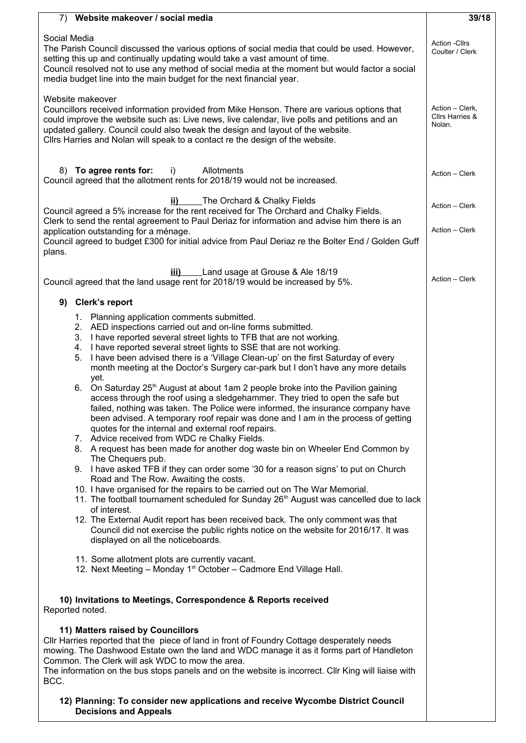| 7) Website makeover / social media                                                                                                                                                                                                                                                                                                                                                                                                                                                                                                                                                                                                                                                                                                                                                                                                                                                                                                                                                                                                                                                                                                                                                                                                                                                                                                                                                                                                                                                                                                                                       | 39/18          |  |  |
|--------------------------------------------------------------------------------------------------------------------------------------------------------------------------------------------------------------------------------------------------------------------------------------------------------------------------------------------------------------------------------------------------------------------------------------------------------------------------------------------------------------------------------------------------------------------------------------------------------------------------------------------------------------------------------------------------------------------------------------------------------------------------------------------------------------------------------------------------------------------------------------------------------------------------------------------------------------------------------------------------------------------------------------------------------------------------------------------------------------------------------------------------------------------------------------------------------------------------------------------------------------------------------------------------------------------------------------------------------------------------------------------------------------------------------------------------------------------------------------------------------------------------------------------------------------------------|----------------|--|--|
| Social Media<br>The Parish Council discussed the various options of social media that could be used. However,<br>setting this up and continually updating would take a vast amount of time.<br>Council resolved not to use any method of social media at the moment but would factor a social<br>media budget line into the main budget for the next financial year.                                                                                                                                                                                                                                                                                                                                                                                                                                                                                                                                                                                                                                                                                                                                                                                                                                                                                                                                                                                                                                                                                                                                                                                                     |                |  |  |
| Website makeover<br>Councillors received information provided from Mike Henson. There are various options that<br>could improve the website such as: Live news, live calendar, live polls and petitions and an<br>updated gallery. Council could also tweak the design and layout of the website.<br>Cllrs Harries and Nolan will speak to a contact re the design of the website.                                                                                                                                                                                                                                                                                                                                                                                                                                                                                                                                                                                                                                                                                                                                                                                                                                                                                                                                                                                                                                                                                                                                                                                       |                |  |  |
| 8) To agree rents for:<br>Allotments<br>i)<br>Council agreed that the allotment rents for 2018/19 would not be increased.                                                                                                                                                                                                                                                                                                                                                                                                                                                                                                                                                                                                                                                                                                                                                                                                                                                                                                                                                                                                                                                                                                                                                                                                                                                                                                                                                                                                                                                | Action - Clerk |  |  |
| The Orchard & Chalky Fields<br>ii)<br>Council agreed a 5% increase for the rent received for The Orchard and Chalky Fields.<br>Clerk to send the rental agreement to Paul Deriaz for information and advise him there is an<br>application outstanding for a ménage.<br>Council agreed to budget £300 for initial advice from Paul Deriaz re the Bolter End / Golden Guff<br>plans.                                                                                                                                                                                                                                                                                                                                                                                                                                                                                                                                                                                                                                                                                                                                                                                                                                                                                                                                                                                                                                                                                                                                                                                      |                |  |  |
| Land usage at Grouse & Ale 18/19<br>iii)<br>Council agreed that the land usage rent for 2018/19 would be increased by 5%.                                                                                                                                                                                                                                                                                                                                                                                                                                                                                                                                                                                                                                                                                                                                                                                                                                                                                                                                                                                                                                                                                                                                                                                                                                                                                                                                                                                                                                                | Action - Clerk |  |  |
| 9) Clerk's report                                                                                                                                                                                                                                                                                                                                                                                                                                                                                                                                                                                                                                                                                                                                                                                                                                                                                                                                                                                                                                                                                                                                                                                                                                                                                                                                                                                                                                                                                                                                                        |                |  |  |
| 1. Planning application comments submitted.<br>2. AED inspections carried out and on-line forms submitted.<br>I have reported several street lights to TFB that are not working.<br>3.<br>I have reported several street lights to SSE that are not working.<br>4.<br>I have been advised there is a 'Village Clean-up' on the first Saturday of every<br>5.<br>month meeting at the Doctor's Surgery car-park but I don't have any more details<br>yet.<br>6. On Saturday 25th August at about 1am 2 people broke into the Pavilion gaining<br>access through the roof using a sledgehammer. They tried to open the safe but<br>failed, nothing was taken. The Police were informed, the insurance company have<br>been advised. A temporary roof repair was done and I am in the process of getting<br>quotes for the internal and external roof repairs.<br>7. Advice received from WDC re Chalky Fields.<br>8. A request has been made for another dog waste bin on Wheeler End Common by<br>The Chequers pub.<br>9. I have asked TFB if they can order some '30 for a reason signs' to put on Church<br>Road and The Row. Awaiting the costs.<br>10. I have organised for the repairs to be carried out on The War Memorial.<br>11. The football tournament scheduled for Sunday 26 <sup>th</sup> August was cancelled due to lack<br>of interest.<br>12. The External Audit report has been received back. The only comment was that<br>Council did not exercise the public rights notice on the website for 2016/17. It was<br>displayed on all the noticeboards. |                |  |  |
| 11. Some allotment plots are currently vacant.<br>12. Next Meeting - Monday 1 <sup>st</sup> October - Cadmore End Village Hall.                                                                                                                                                                                                                                                                                                                                                                                                                                                                                                                                                                                                                                                                                                                                                                                                                                                                                                                                                                                                                                                                                                                                                                                                                                                                                                                                                                                                                                          |                |  |  |
| 10) Invitations to Meetings, Correspondence & Reports received<br>Reported noted.                                                                                                                                                                                                                                                                                                                                                                                                                                                                                                                                                                                                                                                                                                                                                                                                                                                                                                                                                                                                                                                                                                                                                                                                                                                                                                                                                                                                                                                                                        |                |  |  |
| 11) Matters raised by Councillors<br>CIIr Harries reported that the piece of land in front of Foundry Cottage desperately needs<br>mowing. The Dashwood Estate own the land and WDC manage it as it forms part of Handleton<br>Common. The Clerk will ask WDC to mow the area.<br>The information on the bus stops panels and on the website is incorrect. Cllr King will liaise with<br>BCC.                                                                                                                                                                                                                                                                                                                                                                                                                                                                                                                                                                                                                                                                                                                                                                                                                                                                                                                                                                                                                                                                                                                                                                            |                |  |  |
| 12) Planning: To consider new applications and receive Wycombe District Council<br><b>Decisions and Appeals</b>                                                                                                                                                                                                                                                                                                                                                                                                                                                                                                                                                                                                                                                                                                                                                                                                                                                                                                                                                                                                                                                                                                                                                                                                                                                                                                                                                                                                                                                          |                |  |  |